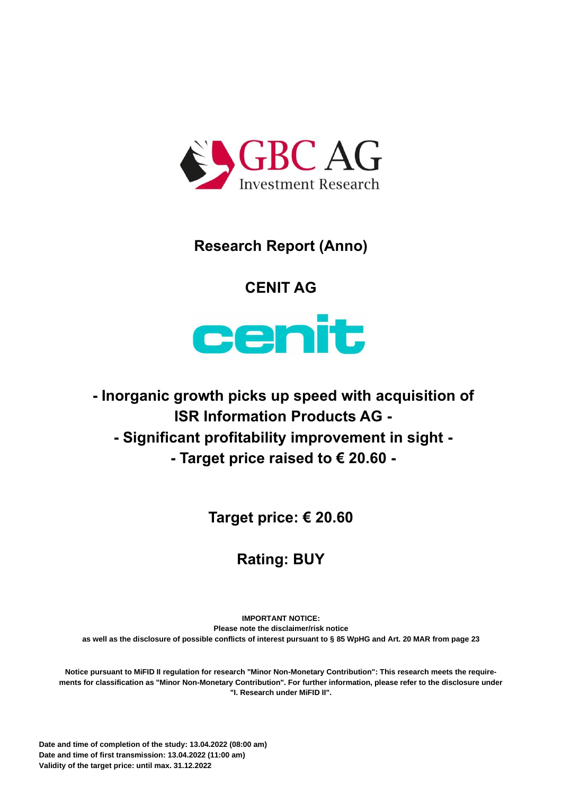

# **Research Report (Anno)**

# **CENIT AG**



**- Inorganic growth picks up speed with acquisition of ISR Information Products AG -**

**- Significant profitability improvement in sight -**

**- Target price raised to € 20.60 -**

**Target price: € 20.60**

# **Rating: BUY**

**IMPORTANT NOTICE: Please note the disclaimer/risk notice as well as the disclosure of possible conflicts of interest pursuant to § 85 WpHG and Art. 20 MAR from pag[e 23](#page-23-0)**

**Notice pursuant to MiFID II regulation for research "Minor Non-Monetary Contribution": This research meets the requirements for classification as "Minor Non-Monetary Contribution". For further information, please refer to the disclosure under "I. Research under MiFID II".**

**Date and time of completion of the study: 13.04.2022 (08:00 am) Date and time of first transmission: 13.04.2022 (11:00 am) Validity of the target price: until max. 31.12.2022**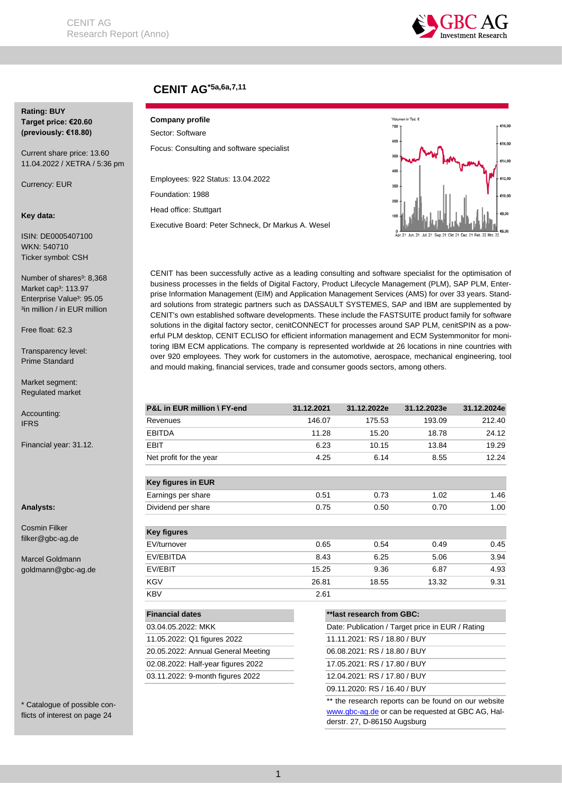

## **CENIT AG\*5a,6a,7,11**

#### **Rating: BUY Target price: €20.60 (previously: €18.80)**

Current share price: 13.60 11.04.2022 / XETRA / 5:36 pm

Currency: EUR

#### **Key data:**

ISIN: DE0005407100 WKN: 540710 Ticker symbol: CSH

Number of shares<sup>3</sup>: 8,368 Market cap<sup>3</sup>: 113.97 Enterprise Value<sup>3</sup>: 95.05 <sup>3</sup>in million / in EUR million

Free float: 62.3

Transparency level: Prime Standard

Market segment: Regulated market

Accounting: IFRS

Financial year: 31.12.

**Analysts:**

Cosmin Filker filker@gbc-ag.de

Marcel Goldmann goldmann@gbc-ag.de

\* Catalogue of possible conflicts of interest on page 24

## **Company profile**

Sector: Software Focus: Consulting and software specialist

Employees: 922 Status: 13.04.2022

Foundation: 1988

Head office: Stuttgart

Executive Board: Peter Schneck, Dr Markus A. Wesel



CENIT has been successfully active as a leading consulting and software specialist for the optimisation of business processes in the fields of Digital Factory, Product Lifecycle Management (PLM), SAP PLM, Enterprise Information Management (EIM) and Application Management Services (AMS) for over 33 years. Standard solutions from strategic partners such as DASSAULT SYSTEMES, SAP and IBM are supplemented by CENIT's own established software developments. These include the FASTSUITE product family for software solutions in the digital factory sector, cenitCONNECT for processes around SAP PLM, cenitSPIN as a powerful PLM desktop, CENIT ECLISO for efficient information management and ECM Systemmonitor for monitoring IBM ECM applications. The company is represented worldwide at 26 locations in nine countries with over 920 employees. They work for customers in the automotive, aerospace, mechanical engineering, tool and mould making, financial services, trade and consumer goods sectors, among others.

| P&L in EUR million \ FY-end        | 31.12.2021 | 31.12.2022e                  | 31.12.2023e                                      | 31.12.2024e |  |  |  |  |
|------------------------------------|------------|------------------------------|--------------------------------------------------|-------------|--|--|--|--|
| Revenues                           | 146.07     | 175.53                       | 193.09                                           | 212.40      |  |  |  |  |
| <b>EBITDA</b>                      | 11.28      | 15.20                        | 18.78                                            | 24.12       |  |  |  |  |
| EBIT                               | 6.23       | 10.15                        | 13.84                                            | 19.29       |  |  |  |  |
| Net profit for the year            | 4.25       | 6.14                         | 8.55                                             | 12.24       |  |  |  |  |
| Key figures in EUR                 |            |                              |                                                  |             |  |  |  |  |
| Earnings per share                 | 0.51       | 0.73                         | 1.02                                             | 1.46        |  |  |  |  |
| Dividend per share                 | 0.75       | 0.50                         | 0.70                                             | 1.00        |  |  |  |  |
| <b>Key figures</b>                 |            |                              |                                                  |             |  |  |  |  |
| EV/turnover                        | 0.65       | 0.54                         | 0.49                                             | 0.45        |  |  |  |  |
| EV/EBITDA                          | 8.43       | 6.25                         | 5.06                                             | 3.94        |  |  |  |  |
| EV/EBIT                            | 15.25      | 9.36                         | 6.87                                             | 4.93        |  |  |  |  |
| KGV                                | 26.81      | 18.55                        | 13.32                                            | 9.31        |  |  |  |  |
| <b>KBV</b>                         | 2.61       |                              |                                                  |             |  |  |  |  |
| <b>Financial dates</b>             |            | **last research from GBC:    |                                                  |             |  |  |  |  |
| 03.04.05.2022: MKK                 |            |                              | Date: Publication / Target price in EUR / Rating |             |  |  |  |  |
| 11.05.2022: Q1 figures 2022        |            | 11.11.2021: RS / 18.80 / BUY |                                                  |             |  |  |  |  |
| 20.05.2022: Annual General Meeting |            | 06.08.2021: RS / 18.80 / BUY |                                                  |             |  |  |  |  |
| 02.08.2022: Half-year figures 2022 |            | 17.05.2021: RS / 17.80 / BUY |                                                  |             |  |  |  |  |
| 03.11.2022: 9-month figures 2022   |            | 12.04.2021: RS / 17.80 / BUY |                                                  |             |  |  |  |  |
|                                    |            | 09.11.2020: RS / 16.40 / BUY |                                                  |             |  |  |  |  |

\*\* the research reports can be found on our website [www.gbc-ag.de](http://www.gbc-ag.de/) or can be requested at GBC AG, Halderstr. 27, D-86150 Augsburg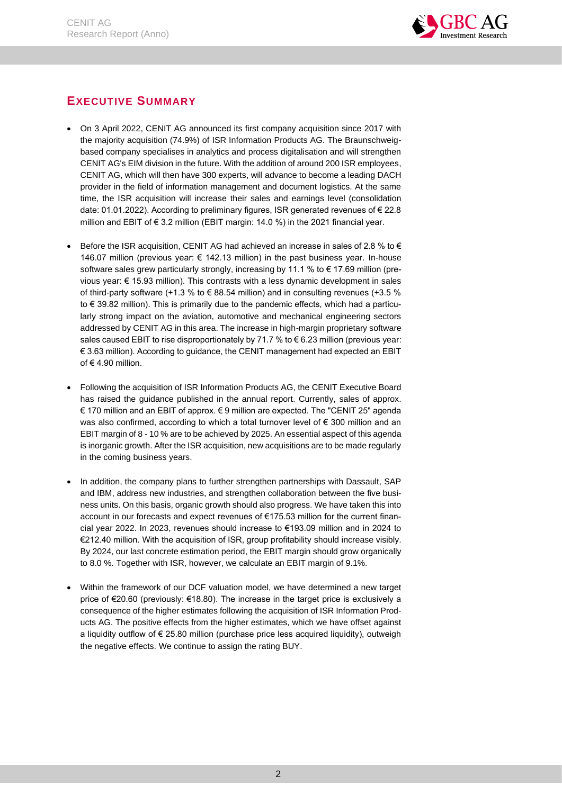

## <span id="page-2-0"></span>**EXECUTIVE SUMMARY**

- On 3 April 2022, CENIT AG announced its first company acquisition since 2017 with the majority acquisition (74.9%) of ISR Information Products AG. The Braunschweigbased company specialises in analytics and process digitalisation and will strengthen CENIT AG's EIM division in the future. With the addition of around 200 ISR employees, CENIT AG, which will then have 300 experts, will advance to become a leading DACH provider in the field of information management and document logistics. At the same time, the ISR acquisition will increase their sales and earnings level (consolidation date: 01.01.2022). According to preliminary figures, ISR generated revenues of € 22.8 million and EBIT of € 3.2 million (EBIT margin: 14.0 %) in the 2021 financial year.
- Before the ISR acquisition, CENIT AG had achieved an increase in sales of 2.8 % to  $\epsilon$ 146.07 million (previous year: € 142.13 million) in the past business year. In-house software sales grew particularly strongly, increasing by 11.1 % to  $\epsilon$  17.69 million (previous year: € 15.93 million). This contrasts with a less dynamic development in sales of third-party software (+1.3 % to  $\epsilon$  88.54 million) and in consulting revenues (+3.5 % to € 39.82 million). This is primarily due to the pandemic effects, which had a particularly strong impact on the aviation, automotive and mechanical engineering sectors addressed by CENIT AG in this area. The increase in high-margin proprietary software sales caused EBIT to rise disproportionately by 71.7 % to € 6.23 million (previous year: € 3.63 million). According to guidance, the CENIT management had expected an EBIT of € 4.90 million.
- Following the acquisition of ISR Information Products AG, the CENIT Executive Board has raised the guidance published in the annual report. Currently, sales of approx. € 170 million and an EBIT of approx. € 9 million are expected. The "CENIT 25" agenda was also confirmed, according to which a total turnover level of € 300 million and an EBIT margin of 8 - 10 % are to be achieved by 2025. An essential aspect of this agenda is inorganic growth. After the ISR acquisition, new acquisitions are to be made regularly in the coming business years.
- In addition, the company plans to further strengthen partnerships with Dassault, SAP and IBM, address new industries, and strengthen collaboration between the five business units. On this basis, organic growth should also progress. We have taken this into account in our forecasts and expect revenues of €175.53 million for the current financial year 2022. In 2023, revenues should increase to €193.09 million and in 2024 to €212.40 million. With the acquisition of ISR, group profitability should increase visibly. By 2024, our last concrete estimation period, the EBIT margin should grow organically to 8.0 %. Together with ISR, however, we calculate an EBIT margin of 9.1%.
- Within the framework of our DCF valuation model, we have determined a new target price of €20.60 (previously: €18.80). The increase in the target price is exclusively a consequence of the higher estimates following the acquisition of ISR Information Products AG. The positive effects from the higher estimates, which we have offset against a liquidity outflow of € 25.80 million (purchase price less acquired liquidity), outweigh the negative effects. We continue to assign the rating BUY.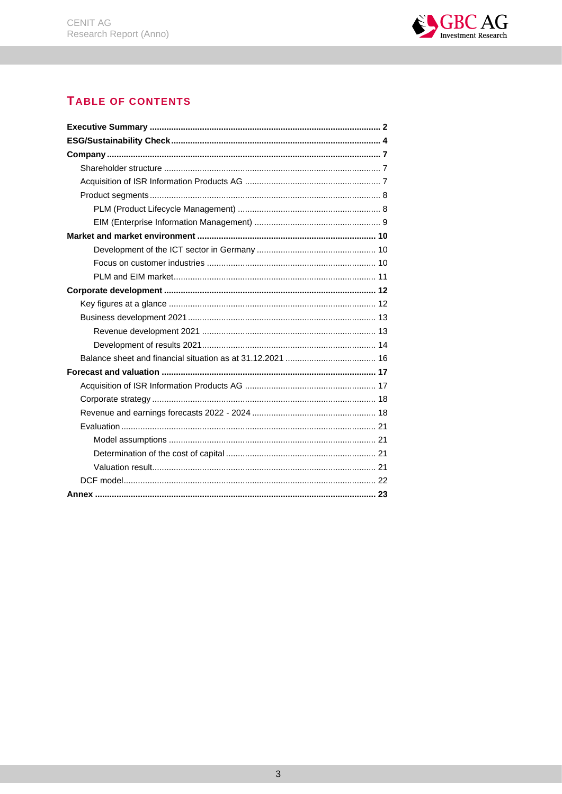

## **TABLE OF CONTENTS**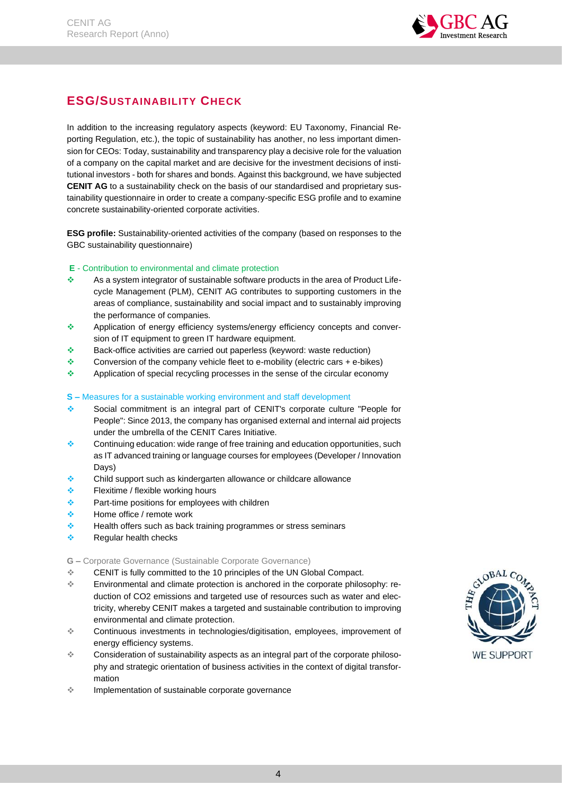

## <span id="page-4-0"></span>**ESG/SUSTAINABILITY CHECK**

In addition to the increasing regulatory aspects (keyword: EU Taxonomy, Financial Reporting Regulation, etc.), the topic of sustainability has another, no less important dimension for CEOs: Today, sustainability and transparency play a decisive role for the valuation of a company on the capital market and are decisive for the investment decisions of institutional investors - both for shares and bonds. Against this background, we have subjected **CENIT AG** to a sustainability check on the basis of our standardised and proprietary sustainability questionnaire in order to create a company-specific ESG profile and to examine concrete sustainability-oriented corporate activities.

**ESG profile:** Sustainability-oriented activities of the company (based on responses to the GBC sustainability questionnaire)

## **E** - Contribution to environmental and climate protection

- ❖ As a system integrator of sustainable software products in the area of Product Lifecycle Management (PLM), CENIT AG contributes to supporting customers in the areas of compliance, sustainability and social impact and to sustainably improving the performance of companies.
- ❖ Application of energy efficiency systems/energy efficiency concepts and conversion of IT equipment to green IT hardware equipment.
- ❖ Back-office activities are carried out paperless (keyword: waste reduction)
- ❖ Conversion of the company vehicle fleet to e-mobility (electric cars + e-bikes)
- ❖ Application of special recycling processes in the sense of the circular economy

#### **S –** Measures for a sustainable working environment and staff development

- ❖ Social commitment is an integral part of CENIT's corporate culture "People for People": Since 2013, the company has organised external and internal aid projects under the umbrella of the CENIT Cares Initiative.
- ❖ Continuing education: wide range of free training and education opportunities, such as IT advanced training or language courses for employees (Developer / Innovation Days)
- ❖ Child support such as kindergarten allowance or childcare allowance
- ❖ Flexitime / flexible working hours
- ❖ Part-time positions for employees with children
- ❖ Home office / remote work
- ❖ Health offers such as back training programmes or stress seminars
- ❖ Regular health checks

#### **G –** Corporate Governance (Sustainable Corporate Governance)

- ❖ CENIT is fully committed to the 10 principles of the UN Global Compact.
- ❖ Environmental and climate protection is anchored in the corporate philosophy: reduction of CO2 emissions and targeted use of resources such as water and electricity, whereby CENIT makes a targeted and sustainable contribution to improving environmental and climate protection.
- ❖ Continuous investments in technologies/digitisation, employees, improvement of energy efficiency systems.
- ❖ Consideration of sustainability aspects as an integral part of the corporate philosophy and strategic orientation of business activities in the context of digital transformation
- ❖ Implementation of sustainable corporate governance

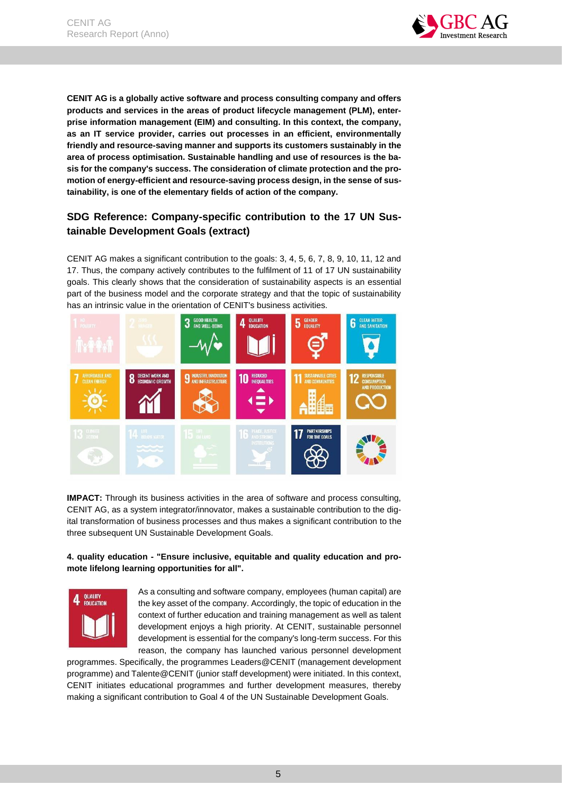

**CENIT AG is a globally active software and process consulting company and offers products and services in the areas of product lifecycle management (PLM), enterprise information management (EIM) and consulting. In this context, the company, as an IT service provider, carries out processes in an efficient, environmentally friendly and resource-saving manner and supports its customers sustainably in the area of process optimisation. Sustainable handling and use of resources is the basis for the company's success. The consideration of climate protection and the promotion of energy-efficient and resource-saving process design, in the sense of sustainability, is one of the elementary fields of action of the company.** 

## **SDG Reference: Company-specific contribution to the 17 UN Sustainable Development Goals (extract)**

CENIT AG makes a significant contribution to the goals: 3, 4, 5, 6, 7, 8, 9, 10, 11, 12 and 17. Thus, the company actively contributes to the fulfilment of 11 of 17 UN sustainability goals. This clearly shows that the consideration of sustainability aspects is an essential part of the business model and the corporate strategy and that the topic of sustainability has an intrinsic value in the orientation of CENIT's business activities.



**IMPACT:** Through its business activities in the area of software and process consulting, CENIT AG, as a system integrator/innovator, makes a sustainable contribution to the digital transformation of business processes and thus makes a significant contribution to the three subsequent UN Sustainable Development Goals.

## **4. quality education - "Ensure inclusive, equitable and quality education and promote lifelong learning opportunities for all".**



As a consulting and software company, employees (human capital) are the key asset of the company. Accordingly, the topic of education in the context of further education and training management as well as talent development enjoys a high priority. At CENIT, sustainable personnel development is essential for the company's long-term success. For this reason, the company has launched various personnel development

programmes. Specifically, the programmes Leaders@CENIT (management development programme) and Talente@CENIT (junior staff development) were initiated. In this context, CENIT initiates educational programmes and further development measures, thereby making a significant contribution to Goal 4 of the UN Sustainable Development Goals.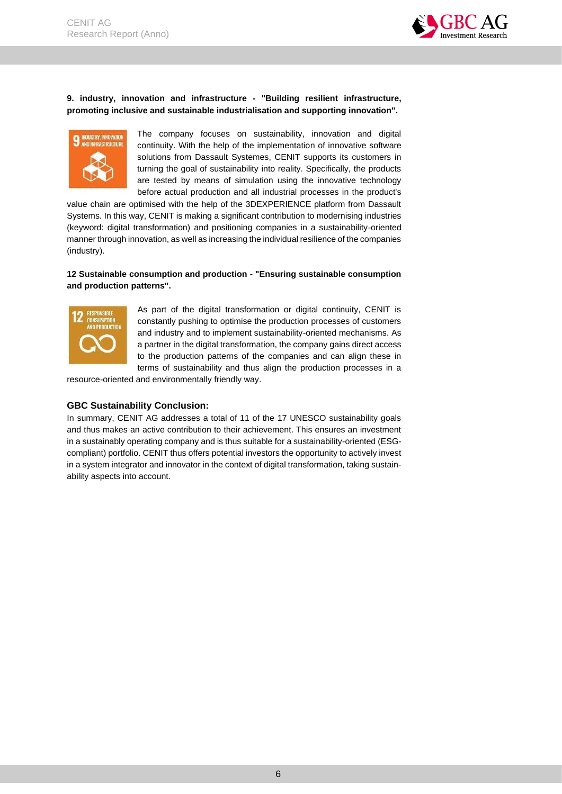

#### **9. industry, innovation and infrastructure - "Building resilient infrastructure, promoting inclusive and sustainable industrialisation and supporting innovation".**



The company focuses on sustainability, innovation and digital continuity. With the help of the implementation of innovative software solutions from Dassault Systemes, CENIT supports its customers in turning the goal of sustainability into reality. Specifically, the products are tested by means of simulation using the innovative technology before actual production and all industrial processes in the product's

value chain are optimised with the help of the 3DEXPERIENCE platform from Dassault Systems. In this way, CENIT is making a significant contribution to modernising industries (keyword: digital transformation) and positioning companies in a sustainability-oriented manner through innovation, as well as increasing the individual resilience of the companies (industry).

## **12 Sustainable consumption and production - "Ensuring sustainable consumption and production patterns".**



As part of the digital transformation or digital continuity, CENIT is constantly pushing to optimise the production processes of customers and industry and to implement sustainability-oriented mechanisms. As a partner in the digital transformation, the company gains direct access to the production patterns of the companies and can align these in terms of sustainability and thus align the production processes in a

resource-oriented and environmentally friendly way.

## **GBC Sustainability Conclusion:**

In summary, CENIT AG addresses a total of 11 of the 17 UNESCO sustainability goals and thus makes an active contribution to their achievement. This ensures an investment in a sustainably operating company and is thus suitable for a sustainability-oriented (ESGcompliant) portfolio. CENIT thus offers potential investors the opportunity to actively invest in a system integrator and innovator in the context of digital transformation, taking sustainability aspects into account.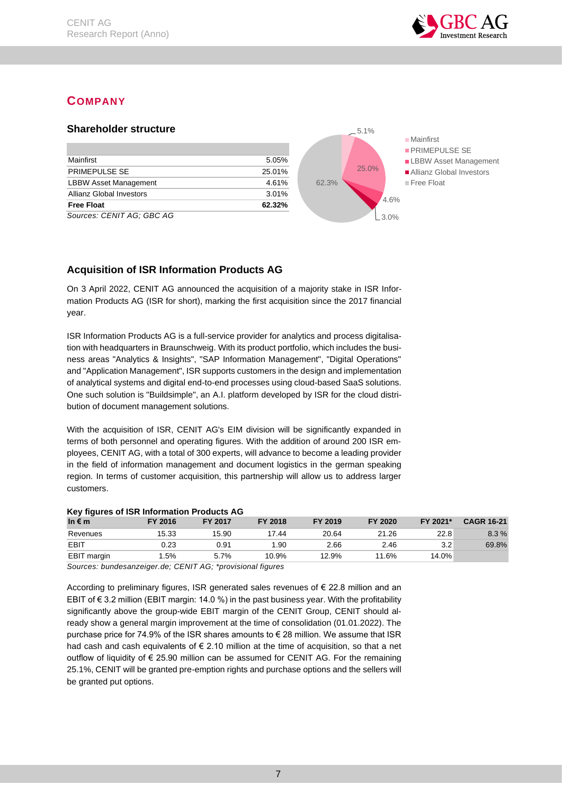

## <span id="page-7-0"></span>**COMPANY**

<span id="page-7-1"></span>

## <span id="page-7-2"></span>**Acquisition of ISR Information Products AG**

On 3 April 2022, CENIT AG announced the acquisition of a majority stake in ISR Information Products AG (ISR for short), marking the first acquisition since the 2017 financial year.

ISR Information Products AG is a full-service provider for analytics and process digitalisation with headquarters in Braunschweig. With its product portfolio, which includes the business areas "Analytics & Insights", "SAP Information Management", "Digital Operations" and "Application Management", ISR supports customers in the design and implementation of analytical systems and digital end-to-end processes using cloud-based SaaS solutions. One such solution is "Buildsimple", an A.I. platform developed by ISR for the cloud distribution of document management solutions.

With the acquisition of ISR, CENIT AG's EIM division will be significantly expanded in terms of both personnel and operating figures. With the addition of around 200 ISR employees, CENIT AG, with a total of 300 experts, will advance to become a leading provider in the field of information management and document logistics in the german speaking region. In terms of customer acquisition, this partnership will allow us to address larger customers.

## **Key figures of ISR Information Products AG**

| . .<br>In $\epsilon$ m | FY 2016 | FY 2017 | FY 2018 | FY 2019 | FY 2020 | FY 2021* | <b>CAGR 16-21</b> |
|------------------------|---------|---------|---------|---------|---------|----------|-------------------|
| Revenues               | 15.33   | 15.90   | 17.44   | 20.64   | 21.26   | 22.8     | 8.3%              |
| <b>EBIT</b>            | 0.23    | 0.91    | .90     | 2.66    | 2.46    | 3.2      | 69.8%             |
| <b>EBIT</b> margin     | .5%     | 5.7%    | 10.9%   | 12.9%   | 11.6%   | $14.0\%$ |                   |

*Sources: bundesanzeiger.de; CENIT AG; \*provisional figures*

According to preliminary figures, ISR generated sales revenues of € 22.8 million and an EBIT of  $\epsilon$  3.2 million (EBIT margin: 14.0 %) in the past business year. With the profitability significantly above the group-wide EBIT margin of the CENIT Group, CENIT should already show a general margin improvement at the time of consolidation (01.01.2022). The purchase price for 74.9% of the ISR shares amounts to € 28 million. We assume that ISR had cash and cash equivalents of  $\epsilon$  2.10 million at the time of acquisition, so that a net outflow of liquidity of  $\epsilon$  25.90 million can be assumed for CENIT AG. For the remaining 25.1%, CENIT will be granted pre-emption rights and purchase options and the sellers will be granted put options.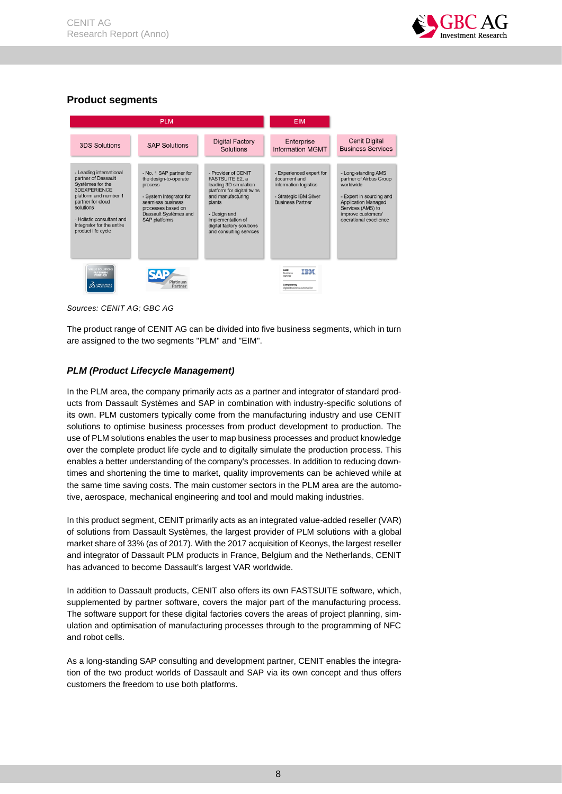

## <span id="page-8-0"></span>**Product segments**



*Sources: CENIT AG; GBC AG*

The product range of CENIT AG can be divided into five business segments, which in turn are assigned to the two segments "PLM" and "EIM".

## <span id="page-8-1"></span>*PLM (Product Lifecycle Management)*

In the PLM area, the company primarily acts as a partner and integrator of standard products from Dassault Systèmes and SAP in combination with industry-specific solutions of its own. PLM customers typically come from the manufacturing industry and use CENIT solutions to optimise business processes from product development to production. The use of PLM solutions enables the user to map business processes and product knowledge over the complete product life cycle and to digitally simulate the production process. This enables a better understanding of the company's processes. In addition to reducing downtimes and shortening the time to market, quality improvements can be achieved while at the same time saving costs. The main customer sectors in the PLM area are the automotive, aerospace, mechanical engineering and tool and mould making industries.

In this product segment, CENIT primarily acts as an integrated value-added reseller (VAR) of solutions from Dassault Systèmes, the largest provider of PLM solutions with a global market share of 33% (as of 2017). With the 2017 acquisition of Keonys, the largest reseller and integrator of Dassault PLM products in France, Belgium and the Netherlands, CENIT has advanced to become Dassault's largest VAR worldwide.

In addition to Dassault products, CENIT also offers its own FASTSUITE software, which, supplemented by partner software, covers the major part of the manufacturing process. The software support for these digital factories covers the areas of project planning, simulation and optimisation of manufacturing processes through to the programming of NFC and robot cells.

As a long-standing SAP consulting and development partner, CENIT enables the integration of the two product worlds of Dassault and SAP via its own concept and thus offers customers the freedom to use both platforms.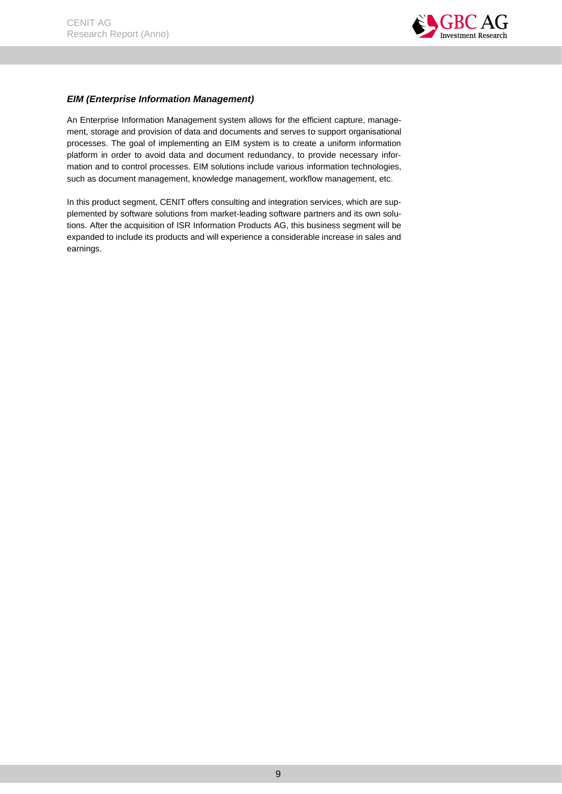

## <span id="page-9-0"></span>*EIM (Enterprise Information Management)*

An Enterprise Information Management system allows for the efficient capture, management, storage and provision of data and documents and serves to support organisational processes. The goal of implementing an EIM system is to create a uniform information platform in order to avoid data and document redundancy, to provide necessary information and to control processes. EIM solutions include various information technologies, such as document management, knowledge management, workflow management, etc.

In this product segment, CENIT offers consulting and integration services, which are supplemented by software solutions from market-leading software partners and its own solutions. After the acquisition of ISR Information Products AG, this business segment will be expanded to include its products and will experience a considerable increase in sales and earnings.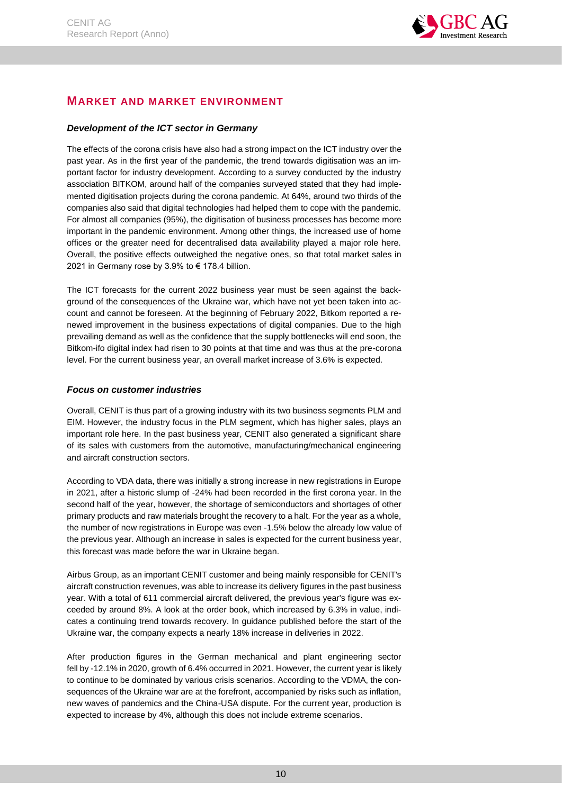

## <span id="page-10-0"></span>**MARKET AND MARKET ENVIRONMENT**

## <span id="page-10-1"></span>*Development of the ICT sector in Germany*

The effects of the corona crisis have also had a strong impact on the ICT industry over the past year. As in the first year of the pandemic, the trend towards digitisation was an important factor for industry development. According to a survey conducted by the industry association BITKOM, around half of the companies surveyed stated that they had implemented digitisation projects during the corona pandemic. At 64%, around two thirds of the companies also said that digital technologies had helped them to cope with the pandemic. For almost all companies (95%), the digitisation of business processes has become more important in the pandemic environment. Among other things, the increased use of home offices or the greater need for decentralised data availability played a major role here. Overall, the positive effects outweighed the negative ones, so that total market sales in 2021 in Germany rose by 3.9% to  $\epsilon$  178.4 billion.

The ICT forecasts for the current 2022 business year must be seen against the background of the consequences of the Ukraine war, which have not yet been taken into account and cannot be foreseen. At the beginning of February 2022, Bitkom reported a renewed improvement in the business expectations of digital companies. Due to the high prevailing demand as well as the confidence that the supply bottlenecks will end soon, the Bitkom-ifo digital index had risen to 30 points at that time and was thus at the pre-corona level. For the current business year, an overall market increase of 3.6% is expected.

## <span id="page-10-2"></span>*Focus on customer industries*

Overall, CENIT is thus part of a growing industry with its two business segments PLM and EIM. However, the industry focus in the PLM segment, which has higher sales, plays an important role here. In the past business year, CENIT also generated a significant share of its sales with customers from the automotive, manufacturing/mechanical engineering and aircraft construction sectors.

According to VDA data, there was initially a strong increase in new registrations in Europe in 2021, after a historic slump of -24% had been recorded in the first corona year. In the second half of the year, however, the shortage of semiconductors and shortages of other primary products and raw materials brought the recovery to a halt. For the year as a whole, the number of new registrations in Europe was even -1.5% below the already low value of the previous year. Although an increase in sales is expected for the current business year, this forecast was made before the war in Ukraine began.

Airbus Group, as an important CENIT customer and being mainly responsible for CENIT's aircraft construction revenues, was able to increase its delivery figures in the past business year. With a total of 611 commercial aircraft delivered, the previous year's figure was exceeded by around 8%. A look at the order book, which increased by 6.3% in value, indicates a continuing trend towards recovery. In guidance published before the start of the Ukraine war, the company expects a nearly 18% increase in deliveries in 2022.

After production figures in the German mechanical and plant engineering sector fell by -12.1% in 2020, growth of 6.4% occurred in 2021. However, the current year is likely to continue to be dominated by various crisis scenarios. According to the VDMA, the consequences of the Ukraine war are at the forefront, accompanied by risks such as inflation, new waves of pandemics and the China-USA dispute. For the current year, production is expected to increase by 4%, although this does not include extreme scenarios.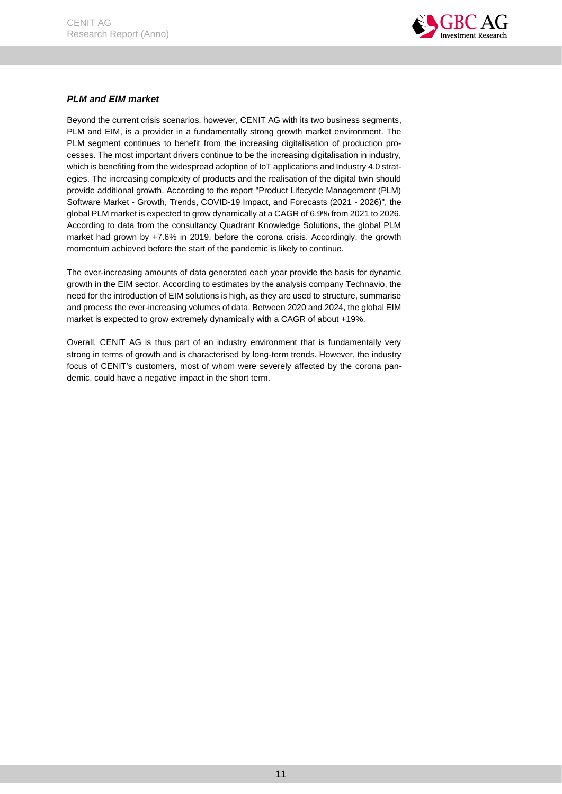

## <span id="page-11-0"></span>*PLM and EIM market*

Beyond the current crisis scenarios, however, CENIT AG with its two business segments, PLM and EIM, is a provider in a fundamentally strong growth market environment. The PLM segment continues to benefit from the increasing digitalisation of production processes. The most important drivers continue to be the increasing digitalisation in industry, which is benefiting from the widespread adoption of IoT applications and Industry 4.0 strategies. The increasing complexity of products and the realisation of the digital twin should provide additional growth. According to the report "Product Lifecycle Management (PLM) Software Market - Growth, Trends, COVID-19 Impact, and Forecasts (2021 - 2026)", the global PLM market is expected to grow dynamically at a CAGR of 6.9% from 2021 to 2026. According to data from the consultancy Quadrant Knowledge Solutions, the global PLM market had grown by +7.6% in 2019, before the corona crisis. Accordingly, the growth momentum achieved before the start of the pandemic is likely to continue.

The ever-increasing amounts of data generated each year provide the basis for dynamic growth in the EIM sector. According to estimates by the analysis company Technavio, the need for the introduction of EIM solutions is high, as they are used to structure, summarise and process the ever-increasing volumes of data. Between 2020 and 2024, the global EIM market is expected to grow extremely dynamically with a CAGR of about +19%.

Overall, CENIT AG is thus part of an industry environment that is fundamentally very strong in terms of growth and is characterised by long-term trends. However, the industry focus of CENIT's customers, most of whom were severely affected by the corona pandemic, could have a negative impact in the short term.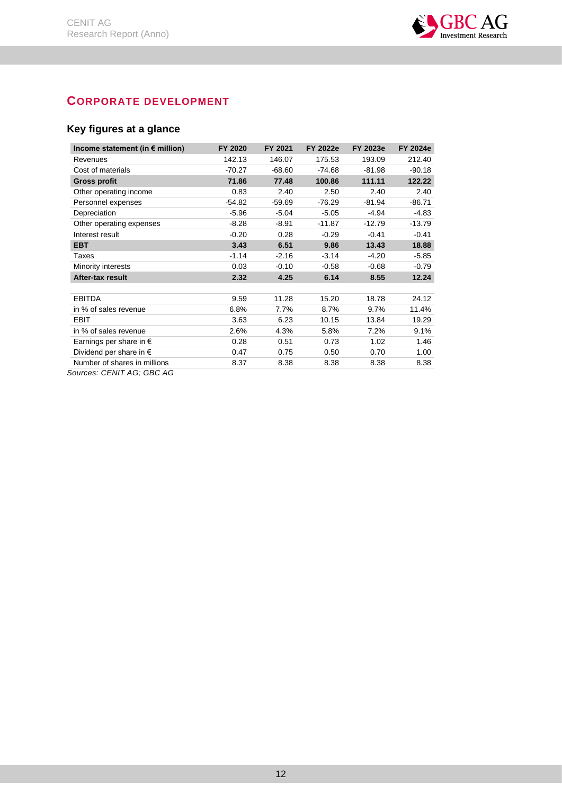

## <span id="page-12-0"></span>**CORPORATE DEVELOPMENT**

## <span id="page-12-1"></span>**Key figures at a glance**

| Income statement (in $\epsilon$ million) | FY 2020  | FY 2021  | <b>FY 2022e</b> | <b>FY 2023e</b> | <b>FY 2024e</b> |
|------------------------------------------|----------|----------|-----------------|-----------------|-----------------|
| Revenues                                 | 142.13   | 146.07   | 175.53          | 193.09          | 212.40          |
| Cost of materials                        | -70.27   | $-68.60$ | $-74.68$        | $-81.98$        | $-90.18$        |
| <b>Gross profit</b>                      | 71.86    | 77.48    | 100.86          | 111.11          | 122.22          |
| Other operating income                   | 0.83     | 2.40     | 2.50            | 2.40            | 2.40            |
| Personnel expenses                       | $-54.82$ | $-59.69$ | $-76.29$        | $-81.94$        | $-86.71$        |
| Depreciation                             | $-5.96$  | $-5.04$  | $-5.05$         | $-4.94$         | $-4.83$         |
| Other operating expenses                 | $-8.28$  | $-8.91$  | $-11.87$        | $-12.79$        | $-13.79$        |
| Interest result                          | $-0.20$  | 0.28     | $-0.29$         | $-0.41$         | $-0.41$         |
| <b>EBT</b>                               | 3.43     | 6.51     | 9.86            | 13.43           | 18.88           |
| Taxes                                    | $-1.14$  | $-2.16$  | $-3.14$         | $-4.20$         | $-5.85$         |
| Minority interests                       | 0.03     | $-0.10$  | $-0.58$         | $-0.68$         | $-0.79$         |
| After-tax result                         | 2.32     | 4.25     | 6.14            | 8.55            | 12.24           |
|                                          |          |          |                 |                 |                 |
| <b>EBITDA</b>                            | 9.59     | 11.28    | 15.20           | 18.78           | 24.12           |
| in % of sales revenue                    | 6.8%     | 7.7%     | 8.7%            | 9.7%            | 11.4%           |
| EBIT                                     | 3.63     | 6.23     | 10.15           | 13.84           | 19.29           |
| in % of sales revenue                    | 2.6%     | 4.3%     | 5.8%            | 7.2%            | 9.1%            |
| Earnings per share in $\epsilon$         | 0.28     | 0.51     | 0.73            | 1.02            | 1.46            |
| Dividend per share in $\epsilon$         | 0.47     | 0.75     | 0.50            | 0.70            | 1.00            |
| Number of shares in millions             | 8.37     | 8.38     | 8.38            | 8.38            | 8.38            |

*Sources: CENIT AG; GBC AG*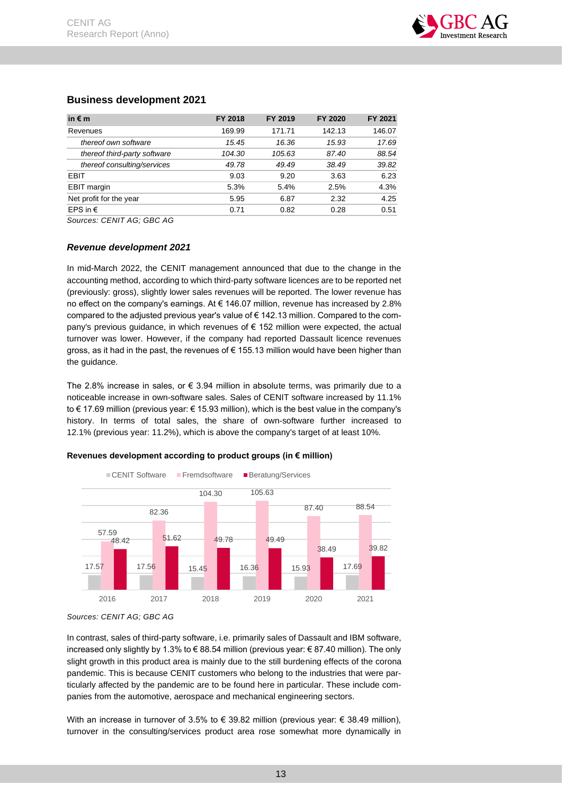## <span id="page-13-0"></span>**Business development 2021**

| in $\epsilon$ m              | FY 2018 | FY 2019 | FY 2020 | FY 2021 |
|------------------------------|---------|---------|---------|---------|
| Revenues                     | 169.99  | 171.71  | 142.13  | 146.07  |
| thereof own software         | 15.45   | 16.36   | 15.93   | 17.69   |
| thereof third-party software | 104.30  | 105.63  | 87.40   | 88.54   |
| thereof consulting/services  | 49.78   | 49.49   | 38.49   | 39.82   |
| <b>EBIT</b>                  | 9.03    | 9.20    | 3.63    | 6.23    |
| EBIT margin                  | 5.3%    | 5.4%    | 2.5%    | 4.3%    |
| Net profit for the year      | 5.95    | 6.87    | 2.32    | 4.25    |
| EPS in $\epsilon$            | 0.71    | 0.82    | 0.28    | 0.51    |

*Sources: CENIT AG; GBC AG*

## <span id="page-13-1"></span>*Revenue development 2021*

In mid-March 2022, the CENIT management announced that due to the change in the accounting method, according to which third-party software licences are to be reported net (previously: gross), slightly lower sales revenues will be reported. The lower revenue has no effect on the company's earnings. At € 146.07 million, revenue has increased by 2.8% compared to the adjusted previous year's value of € 142.13 million. Compared to the company's previous quidance, in which revenues of  $\epsilon$  152 million were expected, the actual turnover was lower. However, if the company had reported Dassault licence revenues gross, as it had in the past, the revenues of € 155.13 million would have been higher than the guidance.

The 2.8% increase in sales, or  $\epsilon$  3.94 million in absolute terms, was primarily due to a noticeable increase in own-software sales. Sales of CENIT software increased by 11.1% to € 17.69 million (previous year: € 15.93 million), which is the best value in the company's history. In terms of total sales, the share of own-software further increased to 12.1% (previous year: 11.2%), which is above the company's target of at least 10%.

## **Revenues development according to product groups (in € million)**



*Sources: CENIT AG; GBC AG*

In contrast, sales of third-party software, i.e. primarily sales of Dassault and IBM software, increased only slightly by 1.3% to € 88.54 million (previous year: € 87.40 million). The only slight growth in this product area is mainly due to the still burdening effects of the corona pandemic. This is because CENIT customers who belong to the industries that were particularly affected by the pandemic are to be found here in particular. These include companies from the automotive, aerospace and mechanical engineering sectors.

With an increase in turnover of 3.5% to  $\epsilon$  39.82 million (previous year:  $\epsilon$  38.49 million), turnover in the consulting/services product area rose somewhat more dynamically in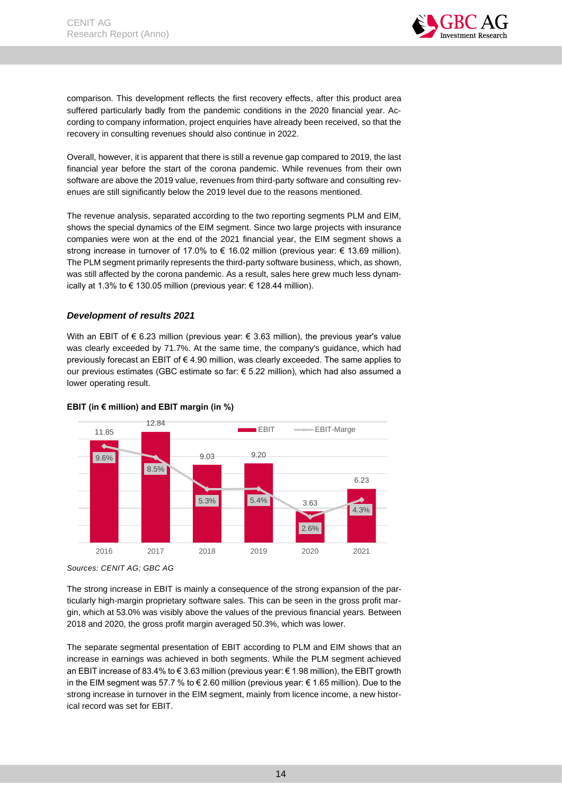

comparison. This development reflects the first recovery effects, after this product area suffered particularly badly from the pandemic conditions in the 2020 financial year. According to company information, project enquiries have already been received, so that the recovery in consulting revenues should also continue in 2022.

Overall, however, it is apparent that there is still a revenue gap compared to 2019, the last financial year before the start of the corona pandemic. While revenues from their own software are above the 2019 value, revenues from third-party software and consulting revenues are still significantly below the 2019 level due to the reasons mentioned.

The revenue analysis, separated according to the two reporting segments PLM and EIM, shows the special dynamics of the EIM segment. Since two large projects with insurance companies were won at the end of the 2021 financial year, the EIM segment shows a strong increase in turnover of 17.0% to  $\epsilon$  16.02 million (previous year:  $\epsilon$  13.69 million). The PLM segment primarily represents the third-party software business, which, as shown, was still affected by the corona pandemic. As a result, sales here grew much less dynamically at 1.3% to € 130.05 million (previous year: € 128.44 million).

## <span id="page-14-0"></span>*Development of results 2021*

With an EBIT of  $\epsilon$  6.23 million (previous year:  $\epsilon$  3.63 million), the previous year's value was clearly exceeded by 71.7%. At the same time, the company's guidance, which had previously forecast an EBIT of € 4.90 million, was clearly exceeded. The same applies to our previous estimates (GBC estimate so far: € 5.22 million), which had also assumed a lower operating result.



## **EBIT (in € million) and EBIT margin (in %)**

The strong increase in EBIT is mainly a consequence of the strong expansion of the particularly high-margin proprietary software sales. This can be seen in the gross profit margin, which at 53.0% was visibly above the values of the previous financial years. Between 2018 and 2020, the gross profit margin averaged 50.3%, which was lower.

The separate segmental presentation of EBIT according to PLM and EIM shows that an increase in earnings was achieved in both segments. While the PLM segment achieved an EBIT increase of 83.4% to € 3.63 million (previous year: € 1.98 million), the EBIT growth in the EIM segment was 57.7 % to € 2.60 million (previous year: € 1.65 million). Due to the strong increase in turnover in the EIM segment, mainly from licence income, a new historical record was set for EBIT.

*Sources: CENIT AG; GBC AG*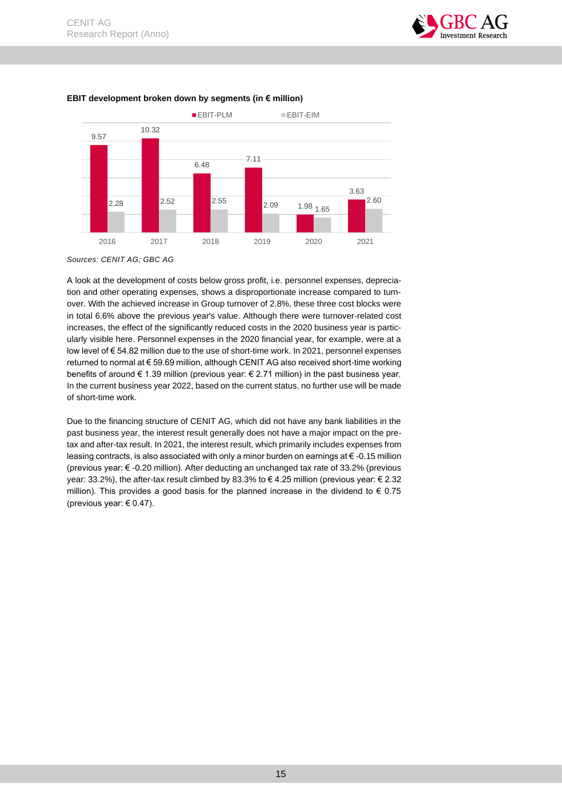



#### **EBIT development broken down by segments (in € million)**

A look at the development of costs below gross profit, i.e. personnel expenses, depreciation and other operating expenses, shows a disproportionate increase compared to turnover. With the achieved increase in Group turnover of 2.8%, these three cost blocks were in total 6.6% above the previous year's value. Although there were turnover-related cost increases, the effect of the significantly reduced costs in the 2020 business year is particularly visible here. Personnel expenses in the 2020 financial year, for example, were at a low level of € 54.82 million due to the use of short-time work. In 2021, personnel expenses returned to normal at € 59.69 million, although CENIT AG also received short-time working benefits of around € 1.39 million (previous year: € 2.71 million) in the past business year. In the current business year 2022, based on the current status, no further use will be made of short-time work.

Due to the financing structure of CENIT AG, which did not have any bank liabilities in the past business year, the interest result generally does not have a major impact on the pretax and after-tax result. In 2021, the interest result, which primarily includes expenses from leasing contracts, is also associated with only a minor burden on earnings at  $\epsilon$  -0.15 million (previous year: € -0.20 million). After deducting an unchanged tax rate of 33.2% (previous year: 33.2%), the after-tax result climbed by 83.3% to € 4.25 million (previous year: € 2.32 million). This provides a good basis for the planned increase in the dividend to  $\epsilon$  0.75 (previous year:  $\in$  0.47).

*Sources: CENIT AG; GBC AG*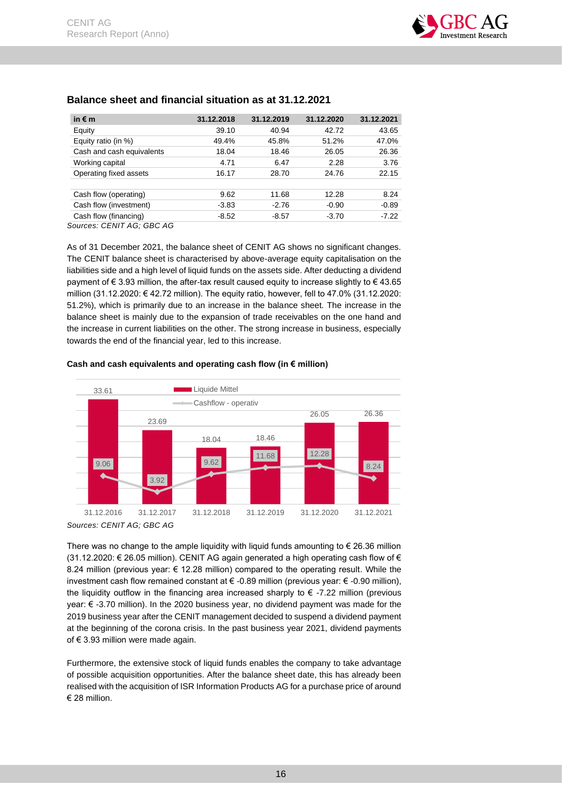

| in $\epsilon$ m                          | 31.12.2018 | 31.12.2019 | 31.12.2020 | 31.12.2021 |
|------------------------------------------|------------|------------|------------|------------|
| Equity                                   | 39.10      | 40.94      | 42.72      | 43.65      |
| Equity ratio (in %)                      | 49.4%      | 45.8%      | 51.2%      | 47.0%      |
| Cash and cash equivalents                | 18.04      | 18.46      | 26.05      | 26.36      |
| Working capital                          | 4.71       | 6.47       | 2.28       | 3.76       |
| Operating fixed assets                   | 16.17      | 28.70      | 24.76      | 22.15      |
|                                          |            |            |            |            |
| Cash flow (operating)                    | 9.62       | 11.68      | 12.28      | 8.24       |
| Cash flow (investment)                   | $-3.83$    | $-2.76$    | $-0.90$    | $-0.89$    |
| Cash flow (financing)                    | $-8.52$    | $-8.57$    | $-3.70$    | $-7.22$    |
| $C_{\text{outcoov}}$ CENIT $AC$ CDC $AC$ |            |            |            |            |

## <span id="page-16-0"></span>**Balance sheet and financial situation as at 31.12.2021**

*Sources: CENIT AG; GBC AG*

As of 31 December 2021, the balance sheet of CENIT AG shows no significant changes. The CENIT balance sheet is characterised by above-average equity capitalisation on the liabilities side and a high level of liquid funds on the assets side. After deducting a dividend payment of € 3.93 million, the after-tax result caused equity to increase slightly to € 43.65 million (31.12.2020: € 42.72 million). The equity ratio, however, fell to 47.0% (31.12.2020: 51.2%), which is primarily due to an increase in the balance sheet. The increase in the balance sheet is mainly due to the expansion of trade receivables on the one hand and the increase in current liabilities on the other. The strong increase in business, especially towards the end of the financial year, led to this increase.





There was no change to the ample liquidity with liquid funds amounting to  $\epsilon$  26.36 million  $(31.12.2020: \text{ } \in \text{ } 26.05 \text{ million})$ . CENIT AG again generated a high operating cash flow of  $\in$ 8.24 million (previous year: € 12.28 million) compared to the operating result. While the investment cash flow remained constant at € -0.89 million (previous year: € -0.90 million), the liquidity outflow in the financing area increased sharply to  $\epsilon$  -7.22 million (previous year: € -3.70 million). In the 2020 business year, no dividend payment was made for the 2019 business year after the CENIT management decided to suspend a dividend payment at the beginning of the corona crisis. In the past business year 2021, dividend payments of € 3.93 million were made again.

Furthermore, the extensive stock of liquid funds enables the company to take advantage of possible acquisition opportunities. After the balance sheet date, this has already been realised with the acquisition of ISR Information Products AG for a purchase price of around € 28 million.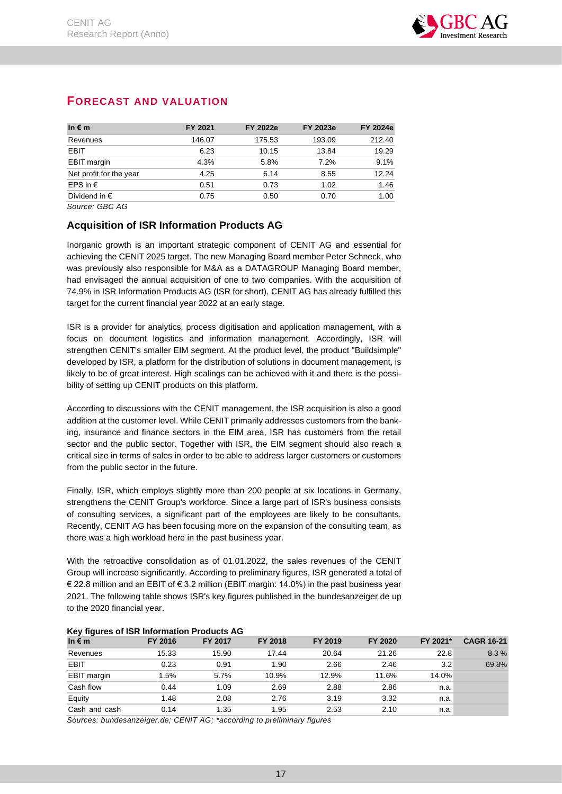| In $\epsilon$ m         | FY 2021 | <b>FY 2022e</b> | <b>FY 2023e</b> | <b>FY 2024e</b> |
|-------------------------|---------|-----------------|-----------------|-----------------|
| Revenues                | 146.07  | 175.53          | 193.09          | 212.40          |
| EBIT                    | 6.23    | 10.15           | 13.84           | 19.29           |
| EBIT margin             | 4.3%    | 5.8%            | 7.2%            | 9.1%            |
| Net profit for the year | 4.25    | 6.14            | 8.55            | 12.24           |
| EPS in $\epsilon$       | 0.51    | 0.73            | 1.02            | 1.46            |
| Dividend in $\epsilon$  | 0.75    | 0.50            | 0.70            | 1.00            |

## <span id="page-17-0"></span>**FORECAST AND VALUATION**

*Source: GBC AG*

## <span id="page-17-1"></span>**Acquisition of ISR Information Products AG**

Inorganic growth is an important strategic component of CENIT AG and essential for achieving the CENIT 2025 target. The new Managing Board member Peter Schneck, who was previously also responsible for M&A as a DATAGROUP Managing Board member, had envisaged the annual acquisition of one to two companies. With the acquisition of 74.9% in ISR Information Products AG (ISR for short), CENIT AG has already fulfilled this target for the current financial year 2022 at an early stage.

ISR is a provider for analytics, process digitisation and application management, with a focus on document logistics and information management. Accordingly, ISR will strengthen CENIT's smaller EIM segment. At the product level, the product "Buildsimple" developed by ISR, a platform for the distribution of solutions in document management, is likely to be of great interest. High scalings can be achieved with it and there is the possibility of setting up CENIT products on this platform.

According to discussions with the CENIT management, the ISR acquisition is also a good addition at the customer level. While CENIT primarily addresses customers from the banking, insurance and finance sectors in the EIM area, ISR has customers from the retail sector and the public sector. Together with ISR, the EIM segment should also reach a critical size in terms of sales in order to be able to address larger customers or customers from the public sector in the future.

Finally, ISR, which employs slightly more than 200 people at six locations in Germany, strengthens the CENIT Group's workforce. Since a large part of ISR's business consists of consulting services, a significant part of the employees are likely to be consultants. Recently, CENIT AG has been focusing more on the expansion of the consulting team, as there was a high workload here in the past business year.

With the retroactive consolidation as of 01.01.2022, the sales revenues of the CENIT Group will increase significantly. According to preliminary figures, ISR generated a total of € 22.8 million and an EBIT of € 3.2 million (EBIT margin: 14.0%) in the past business year 2021. The following table shows ISR's key figures published in the bundesanzeiger.de up to the 2020 financial year.

|                 | <b>INTERNATION INTO A DIRECT LOCATION INTO A DIRECT AND</b> |         |         |         |         |          |                   |  |  |  |  |
|-----------------|-------------------------------------------------------------|---------|---------|---------|---------|----------|-------------------|--|--|--|--|
| In $\epsilon$ m | FY 2016                                                     | FY 2017 | FY 2018 | FY 2019 | FY 2020 | FY 2021* | <b>CAGR 16-21</b> |  |  |  |  |
| Revenues        | 15.33                                                       | 15.90   | 17.44   | 20.64   | 21.26   | 22.8     | 8.3%              |  |  |  |  |
| <b>EBIT</b>     | 0.23                                                        | 0.91    | 1.90    | 2.66    | 2.46    | 3.2      | 69.8%             |  |  |  |  |
| EBIT margin     | 1.5%                                                        | 5.7%    | 10.9%   | 12.9%   | 11.6%   | 14.0%    |                   |  |  |  |  |
| Cash flow       | 0.44                                                        | 1.09    | 2.69    | 2.88    | 2.86    | n.a.     |                   |  |  |  |  |
| Equity          | 1.48                                                        | 2.08    | 2.76    | 3.19    | 3.32    | n.a.     |                   |  |  |  |  |
| Cash and cash   | 0.14                                                        | 1.35    | 1.95    | 2.53    | 2.10    | n.a.     |                   |  |  |  |  |

## **Key figures of ISR Information Products AG**

Sources: bundesanzeiger.de; CENIT AG; \*according to preliminary figures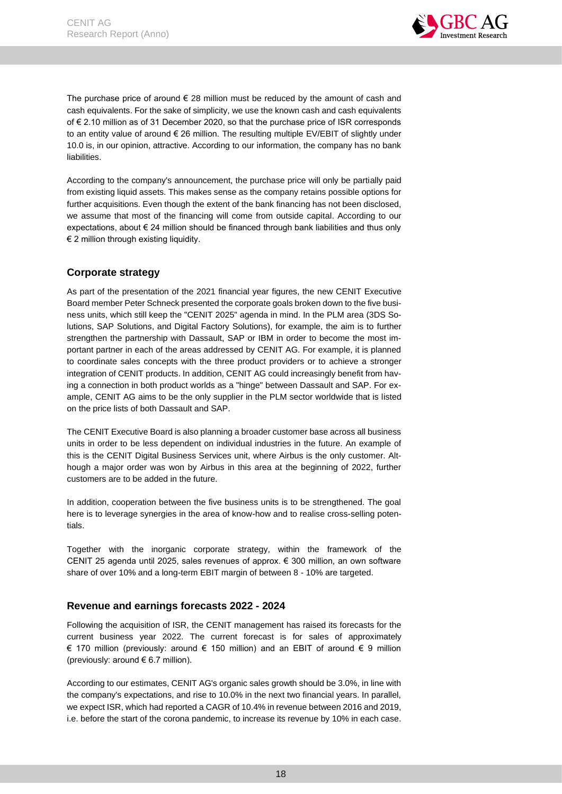

The purchase price of around  $\epsilon$  28 million must be reduced by the amount of cash and cash equivalents. For the sake of simplicity, we use the known cash and cash equivalents of € 2.10 million as of 31 December 2020, so that the purchase price of ISR corresponds to an entity value of around € 26 million. The resulting multiple EV/EBIT of slightly under 10.0 is, in our opinion, attractive. According to our information, the company has no bank liabilities.

According to the company's announcement, the purchase price will only be partially paid from existing liquid assets. This makes sense as the company retains possible options for further acquisitions. Even though the extent of the bank financing has not been disclosed, we assume that most of the financing will come from outside capital. According to our expectations, about  $\epsilon$  24 million should be financed through bank liabilities and thus only € 2 million through existing liquidity.

## <span id="page-18-0"></span>**Corporate strategy**

As part of the presentation of the 2021 financial year figures, the new CENIT Executive Board member Peter Schneck presented the corporate goals broken down to the five business units, which still keep the "CENIT 2025" agenda in mind. In the PLM area (3DS Solutions, SAP Solutions, and Digital Factory Solutions), for example, the aim is to further strengthen the partnership with Dassault, SAP or IBM in order to become the most important partner in each of the areas addressed by CENIT AG. For example, it is planned to coordinate sales concepts with the three product providers or to achieve a stronger integration of CENIT products. In addition, CENIT AG could increasingly benefit from having a connection in both product worlds as a "hinge" between Dassault and SAP. For example, CENIT AG aims to be the only supplier in the PLM sector worldwide that is listed on the price lists of both Dassault and SAP.

The CENIT Executive Board is also planning a broader customer base across all business units in order to be less dependent on individual industries in the future. An example of this is the CENIT Digital Business Services unit, where Airbus is the only customer. Although a major order was won by Airbus in this area at the beginning of 2022, further customers are to be added in the future.

In addition, cooperation between the five business units is to be strengthened. The goal here is to leverage synergies in the area of know-how and to realise cross-selling potentials.

Together with the inorganic corporate strategy, within the framework of the CENIT 25 agenda until 2025, sales revenues of approx. € 300 million, an own software share of over 10% and a long-term EBIT margin of between 8 - 10% are targeted.

## <span id="page-18-1"></span>**Revenue and earnings forecasts 2022 - 2024**

Following the acquisition of ISR, the CENIT management has raised its forecasts for the current business year 2022. The current forecast is for sales of approximately € 170 million (previously: around € 150 million) and an EBIT of around € 9 million (previously: around € 6.7 million).

According to our estimates, CENIT AG's organic sales growth should be 3.0%, in line with the company's expectations, and rise to 10.0% in the next two financial years. In parallel, we expect ISR, which had reported a CAGR of 10.4% in revenue between 2016 and 2019, i.e. before the start of the corona pandemic, to increase its revenue by 10% in each case.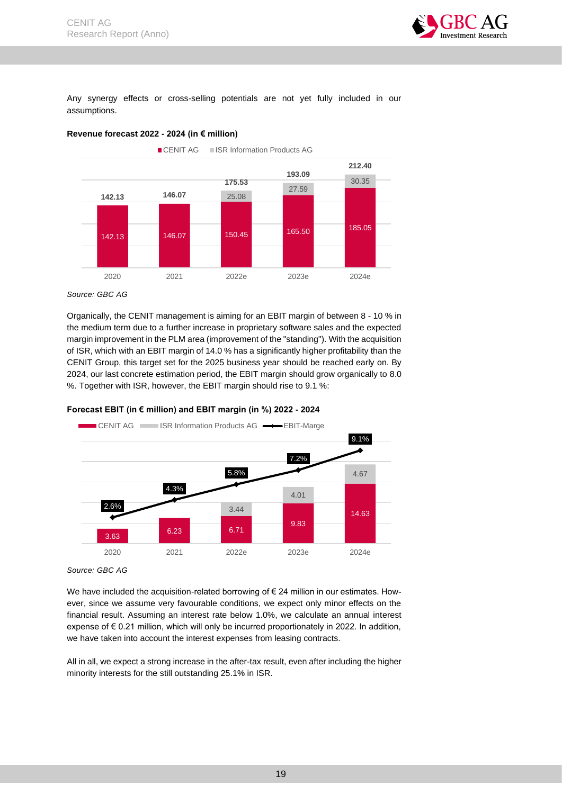

Any synergy effects or cross-selling potentials are not yet fully included in our assumptions.





*Source: GBC AG*

Organically, the CENIT management is aiming for an EBIT margin of between 8 - 10 % in the medium term due to a further increase in proprietary software sales and the expected margin improvement in the PLM area (improvement of the "standing"). With the acquisition of ISR, which with an EBIT margin of 14.0 % has a significantly higher profitability than the CENIT Group, this target set for the 2025 business year should be reached early on. By 2024, our last concrete estimation period, the EBIT margin should grow organically to 8.0 %. Together with ISR, however, the EBIT margin should rise to 9.1 %:



**Forecast EBIT (in € million) and EBIT margin (in %) 2022 - 2024**

We have included the acquisition-related borrowing of € 24 million in our estimates. However, since we assume very favourable conditions, we expect only minor effects on the financial result. Assuming an interest rate below 1.0%, we calculate an annual interest expense of € 0.21 million, which will only be incurred proportionately in 2022. In addition, we have taken into account the interest expenses from leasing contracts.

All in all, we expect a strong increase in the after-tax result, even after including the higher minority interests for the still outstanding 25.1% in ISR.

*Source: GBC AG*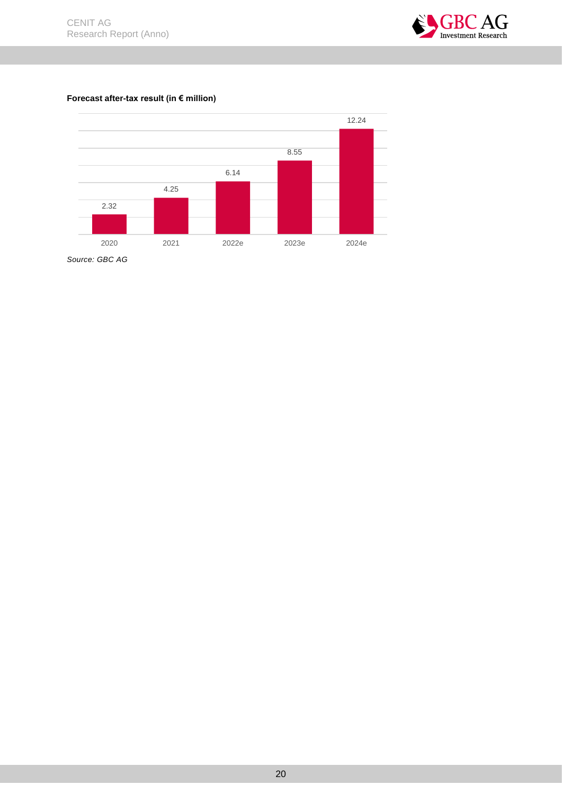

## **Forecast after-tax result (in € million)**



*Source: GBC AG*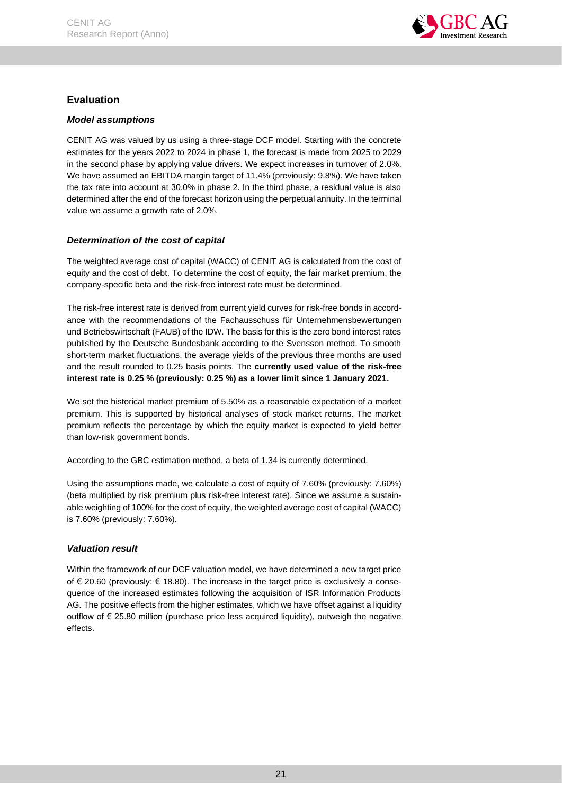

## <span id="page-21-0"></span>**Evaluation**

## <span id="page-21-1"></span>*Model assumptions*

CENIT AG was valued by us using a three-stage DCF model. Starting with the concrete estimates for the years 2022 to 2024 in phase 1, the forecast is made from 2025 to 2029 in the second phase by applying value drivers. We expect increases in turnover of 2.0%. We have assumed an EBITDA margin target of 11.4% (previously: 9.8%). We have taken the tax rate into account at 30.0% in phase 2. In the third phase, a residual value is also determined after the end of the forecast horizon using the perpetual annuity. In the terminal value we assume a growth rate of 2.0%.

## <span id="page-21-2"></span>*Determination of the cost of capital*

The weighted average cost of capital (WACC) of CENIT AG is calculated from the cost of equity and the cost of debt. To determine the cost of equity, the fair market premium, the company-specific beta and the risk-free interest rate must be determined.

The risk-free interest rate is derived from current yield curves for risk-free bonds in accordance with the recommendations of the Fachausschuss für Unternehmensbewertungen und Betriebswirtschaft (FAUB) of the IDW. The basis for this is the zero bond interest rates published by the Deutsche Bundesbank according to the Svensson method. To smooth short-term market fluctuations, the average yields of the previous three months are used and the result rounded to 0.25 basis points. The **currently used value of the risk-free interest rate is 0.25 % (previously: 0.25 %) as a lower limit since 1 January 2021.**

We set the historical market premium of 5.50% as a reasonable expectation of a market premium. This is supported by historical analyses of stock market returns. The market premium reflects the percentage by which the equity market is expected to yield better than low-risk government bonds.

According to the GBC estimation method, a beta of 1.34 is currently determined.

Using the assumptions made, we calculate a cost of equity of 7.60% (previously: 7.60%) (beta multiplied by risk premium plus risk-free interest rate). Since we assume a sustainable weighting of 100% for the cost of equity, the weighted average cost of capital (WACC) is 7.60% (previously: 7.60%).

## <span id="page-21-3"></span>*Valuation result*

Within the framework of our DCF valuation model, we have determined a new target price of € 20.60 (previously: € 18.80). The increase in the target price is exclusively a consequence of the increased estimates following the acquisition of ISR Information Products AG. The positive effects from the higher estimates, which we have offset against a liquidity outflow of  $\epsilon$  25.80 million (purchase price less acquired liquidity), outweigh the negative effects.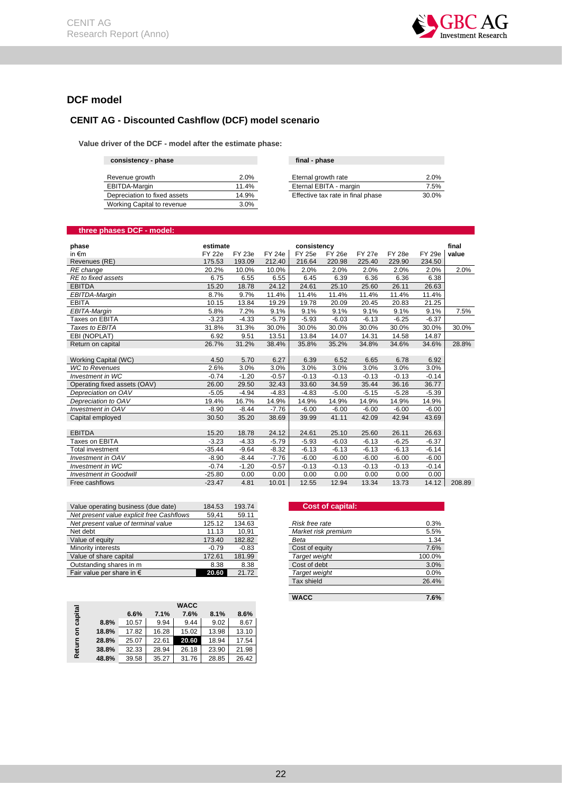

## <span id="page-22-0"></span>**DCF model**

## **CENIT AG - Discounted Cashflow (DCF) model scenario**

 **Value driver of the DCF - model after the estimate phase:**

| consistency - phase | final - phase |
|---------------------|---------------|

| Revenue growth               | 2.0%    | Eternal growth rate               | 2.0%  |
|------------------------------|---------|-----------------------------------|-------|
| EBITDA-Margin                | 11.4%   | Eternal EBITA - margin            | 7.5%  |
| Depreciation to fixed assets | 14.9%   | Effective tax rate in final phase | 30.0% |
| Working Capital to revenue   | $3.0\%$ |                                   |       |

| 2.0%  |
|-------|
| 7.5%  |
| 30.0% |
|       |

#### **three phases DCF - model:**

| phase                         | estimate      |               |               | consistency   |               |               |               |               | final  |
|-------------------------------|---------------|---------------|---------------|---------------|---------------|---------------|---------------|---------------|--------|
| in $\epsilon$ m               | <b>FY 22e</b> | <b>FY 23e</b> | <b>FY 24e</b> | <b>FY 25e</b> | <b>FY 26e</b> | <b>FY 27e</b> | <b>FY 28e</b> | <b>FY 29e</b> | value  |
| Revenues (RE)                 | 175.53        | 193.09        | 212.40        | 216.64        | 220.98        | 225.40        | 229.90        | 234.50        |        |
| RE change                     | 20.2%         | 10.0%         | 10.0%         | 2.0%          | 2.0%          | 2.0%          | 2.0%          | 2.0%          | 2.0%   |
| RE to fixed assets            | 6.75          | 6.55          | 6.55          | 6.45          | 6.39          | 6.36          | 6.36          | 6.38          |        |
| <b>EBITDA</b>                 | 15.20         | 18.78         | 24.12         | 24.61         | 25.10         | 25.60         | 26.11         | 26.63         |        |
| EBITDA-Margin                 | 8.7%          | 9.7%          | 11.4%         | 11.4%         | 11.4%         | 11.4%         | 11.4%         | 11.4%         |        |
| <b>EBITA</b>                  | 10.15         | 13.84         | 19.29         | 19.78         | 20.09         | 20.45         | 20.83         | 21.25         |        |
| EBITA-Margin                  | 5.8%          | 7.2%          | 9.1%          | 9.1%          | 9.1%          | 9.1%          | 9.1%          | 9.1%          | 7.5%   |
| Taxes on EBITA                | $-3.23$       | $-4.33$       | $-5.79$       | $-5.93$       | $-6.03$       | $-6.13$       | $-6.25$       | $-6.37$       |        |
| Taxes to EBITA                | 31.8%         | 31.3%         | 30.0%         | 30.0%         | 30.0%         | 30.0%         | 30.0%         | 30.0%         | 30.0%  |
| EBI (NOPLAT)                  | 6.92          | 9.51          | 13.51         | 13.84         | 14.07         | 14.31         | 14.58         | 14.87         |        |
| Return on capital             | 26.7%         | 31.2%         | 38.4%         | 35.8%         | 35.2%         | 34.8%         | 34.6%         | 34.6%         | 28.8%  |
|                               |               |               |               |               |               |               |               |               |        |
| Working Capital (WC)          | 4.50          | 5.70          | 6.27          | 6.39          | 6.52          | 6.65          | 6.78          | 6.92          |        |
| <b>WC</b> to Revenues         | 2.6%          | 3.0%          | 3.0%          | 3.0%          | 3.0%          | 3.0%          | 3.0%          | 3.0%          |        |
| <b>Investment in WC</b>       | $-0.74$       | $-1.20$       | $-0.57$       | $-0.13$       | $-0.13$       | $-0.13$       | $-0.13$       | $-0.14$       |        |
| Operating fixed assets (OAV)  | 26.00         | 29.50         | 32.43         | 33.60         | 34.59         | 35.44         | 36.16         | 36.77         |        |
| Depreciation on OAV           | $-5.05$       | $-4.94$       | $-4.83$       | $-4.83$       | $-5.00$       | $-5.15$       | $-5.28$       | $-5.39$       |        |
| Depreciation to OAV           | 19.4%         | 16.7%         | 14.9%         | 14.9%         | 14.9%         | 14.9%         | 14.9%         | 14.9%         |        |
| <b>Investment in OAV</b>      | $-8.90$       | $-8.44$       | $-7.76$       | $-6.00$       | $-6.00$       | $-6.00$       | $-6.00$       | $-6.00$       |        |
| Capital emploved              | 30.50         | 35.20         | 38.69         | 39.99         | 41.11         | 42.09         | 42.94         | 43.69         |        |
|                               |               |               |               |               |               |               |               |               |        |
| <b>EBITDA</b>                 | 15.20         | 18.78         | 24.12         | 24.61         | 25.10         | 25.60         | 26.11         | 26.63         |        |
| Taxes on EBITA                | $-3.23$       | $-4.33$       | $-5.79$       | $-5.93$       | $-6.03$       | $-6.13$       | $-6.25$       | $-6.37$       |        |
| <b>Total investment</b>       | $-35.44$      | $-9.64$       | $-8.32$       | $-6.13$       | $-6.13$       | $-6.13$       | $-6.13$       | $-6.14$       |        |
| <b>Investment in OAV</b>      | $-8.90$       | $-8.44$       | $-7.76$       | $-6.00$       | $-6.00$       | $-6.00$       | $-6.00$       | $-6.00$       |        |
| <b>Investment in WC</b>       | $-0.74$       | $-1.20$       | $-0.57$       | $-0.13$       | $-0.13$       | $-0.13$       | $-0.13$       | $-0.14$       |        |
| <b>Investment in Goodwill</b> | $-25.80$      | 0.00          | 0.00          | 0.00          | 0.00          | 0.00          | 0.00          | 0.00          |        |
| Free cashflows                | $-23.47$      | 4.81          | 10.01         | 12.55         | 12.94         | 13.34         | 13.73         | 14.12         | 208.89 |

| Value operating business (due date)       | 184.53  | 193.74  | <b>Cost of capital:</b>     |
|-------------------------------------------|---------|---------|-----------------------------|
| Net present value explicit free Cashflows | 59.41   | 59.11   |                             |
| Net present value of terminal value       | 125.12  | 134.63  | 0.3%<br>Risk free rate      |
| Net debt                                  | 11.13   | 10,91   | Market risk premium<br>5.5% |
| Value of equity                           | 173.40  | 182.82  | 1.34<br>Beta                |
| Minority interests                        | $-0.79$ | $-0.83$ | 7.6%<br>Cost of equity      |
| Value of share capital                    | 172.61  | 181.99  | 100.0%<br>Target weight     |
| Outstanding shares in m                   | 8.38    | 8.38    | 3.0%<br>Cost of debt        |
| Fair value per share in $\epsilon$        | 20.60   | 21.72   | Target weight<br>0.0%       |

| capital |       | 6.6%  | 7.1%  | <b>WACC</b><br>7.6% | 8.1%  | 8.6%  |
|---------|-------|-------|-------|---------------------|-------|-------|
|         | 8.8%  | 10.57 | 9.94  | 9.44                | 9.02  | 8.67  |
| ទ       | 18.8% | 17.82 | 16.28 | 15.02               | 13.98 | 13.10 |
|         | 28.8% | 25.07 | 22.61 | 20.60               | 18.94 | 17.54 |
| Return  | 38.8% | 32.33 | 28.94 | 26.18               | 23.90 | 21.98 |
|         | 48.8% | 39.58 | 35.27 | 31.76               | 28.85 | 26.42 |

# **Cost of capital:** <u>Net present value of the set of terminal value</u> of terminal values of the set of the set of the set of the set o<br>All present values of the set of the set of the set of the set of the set of the set of the set of the set o Market risk premium<br>Beta Tax shield 26.4%

**WACC 7.6%**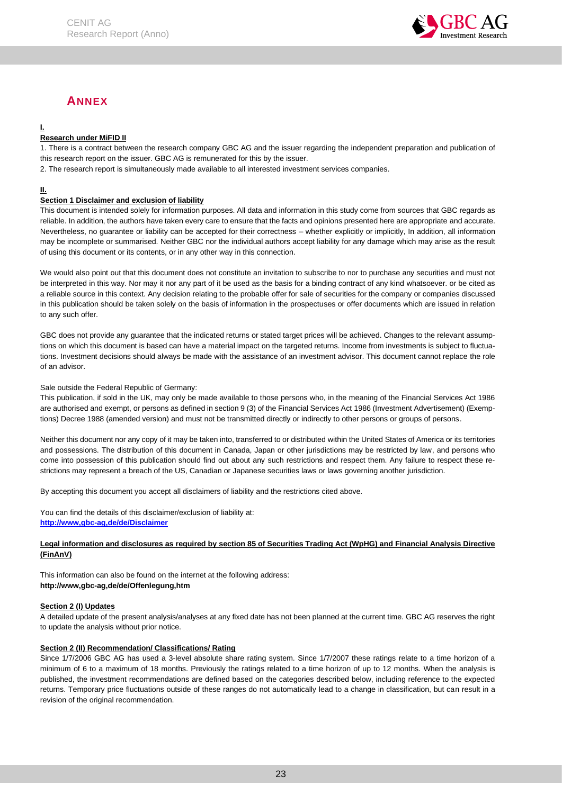

## <span id="page-23-1"></span>**ANNEX**

## <span id="page-23-0"></span>**I.**

## **Research under MiFID II**

1. There is a contract between the research company GBC AG and the issuer regarding the independent preparation and publication of this research report on the issuer. GBC AG is remunerated for this by the issuer.

2. The research report is simultaneously made available to all interested investment services companies.

#### **II.**

#### **Section 1 Disclaimer and exclusion of liability**

This document is intended solely for information purposes. All data and information in this study come from sources that GBC regards as reliable. In addition, the authors have taken every care to ensure that the facts and opinions presented here are appropriate and accurate. Nevertheless, no guarantee or liability can be accepted for their correctness – whether explicitly or implicitly, In addition, all information may be incomplete or summarised. Neither GBC nor the individual authors accept liability for any damage which may arise as the result of using this document or its contents, or in any other way in this connection.

We would also point out that this document does not constitute an invitation to subscribe to nor to purchase any securities and must not be interpreted in this way. Nor may it nor any part of it be used as the basis for a binding contract of any kind whatsoever. or be cited as a reliable source in this context. Any decision relating to the probable offer for sale of securities for the company or companies discussed in this publication should be taken solely on the basis of information in the prospectuses or offer documents which are issued in relation to any such offer.

GBC does not provide any guarantee that the indicated returns or stated target prices will be achieved. Changes to the relevant assumptions on which this document is based can have a material impact on the targeted returns. Income from investments is subject to fluctuations. Investment decisions should always be made with the assistance of an investment advisor. This document cannot replace the role of an advisor.

#### Sale outside the Federal Republic of Germany:

This publication, if sold in the UK, may only be made available to those persons who, in the meaning of the Financial Services Act 1986 are authorised and exempt, or persons as defined in section 9 (3) of the Financial Services Act 1986 (Investment Advertisement) (Exemptions) Decree 1988 (amended version) and must not be transmitted directly or indirectly to other persons or groups of persons.

Neither this document nor any copy of it may be taken into, transferred to or distributed within the United States of America or its territories and possessions. The distribution of this document in Canada, Japan or other jurisdictions may be restricted by law, and persons who come into possession of this publication should find out about any such restrictions and respect them. Any failure to respect these restrictions may represent a breach of the US, Canadian or Japanese securities laws or laws governing another jurisdiction.

By accepting this document you accept all disclaimers of liability and the restrictions cited above.

You can find the details of this disclaimer/exclusion of liability at: **[http://www,gbc-ag,de/de/Disclaimer](http://www.gbc-ag.de/de/Disclaimer.htm)**

#### **Legal information and disclosures as required by section 85 of Securities Trading Act (WpHG) and Financial Analysis Directive (FinAnV)**

This information can also be found on the internet at the following address: **http://www,gbc-ag,de/de/Offenlegung,htm**

#### **Section 2 (I) Updates**

A detailed update of the present analysis/analyses at any fixed date has not been planned at the current time. GBC AG reserves the right to update the analysis without prior notice.

#### **Section 2 (II) Recommendation/ Classifications/ Rating**

Since 1/7/2006 GBC AG has used a 3-level absolute share rating system. Since 1/7/2007 these ratings relate to a time horizon of a minimum of 6 to a maximum of 18 months. Previously the ratings related to a time horizon of up to 12 months. When the analysis is published, the investment recommendations are defined based on the categories described below, including reference to the expected returns. Temporary price fluctuations outside of these ranges do not automatically lead to a change in classification, but can result in a revision of the original recommendation.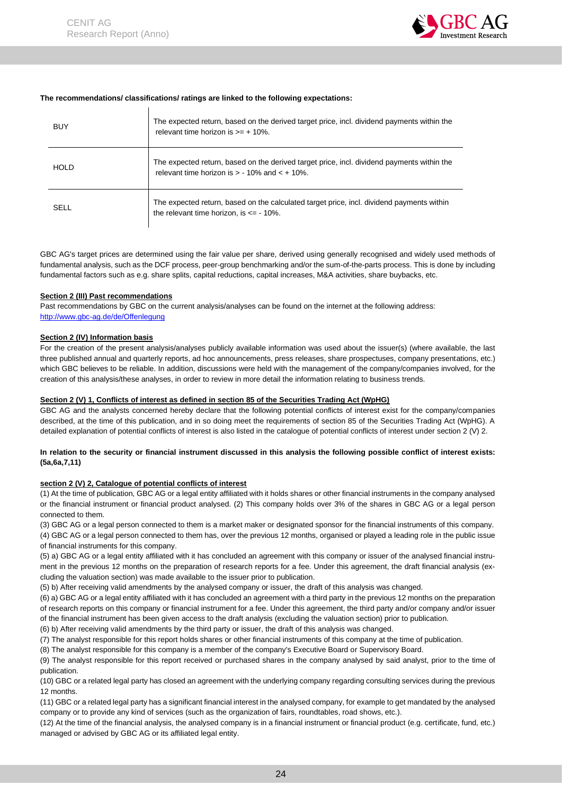

#### **The recommendations/ classifications/ ratings are linked to the following expectations:**

| BUY         | The expected return, based on the derived target price, incl. dividend payments within the<br>relevant time horizon is $\geq 10\%$ .             |
|-------------|--------------------------------------------------------------------------------------------------------------------------------------------------|
| <b>HOLD</b> | The expected return, based on the derived target price, incl. dividend payments within the<br>relevant time horizon is $> -10\%$ and $< +10\%$ . |
| SELL        | The expected return, based on the calculated target price, incl. dividend payments within<br>the relevant time horizon, is $\leq -10\%$ .        |

GBC AG's target prices are determined using the fair value per share, derived using generally recognised and widely used methods of fundamental analysis, such as the DCF process, peer-group benchmarking and/or the sum-of-the-parts process. This is done by including fundamental factors such as e.g. share splits, capital reductions, capital increases, M&A activities, share buybacks, etc.

#### **Section 2 (III) Past recommendations**

Past recommendations by GBC on the current analysis/analyses can be found on the internet at the following address: [http://www.gbc-ag.de/de/Offenlegung](http://www.gbc-ag.de/de/Offenlegung.htm)

#### **Section 2 (IV) Information basis**

For the creation of the present analysis/analyses publicly available information was used about the issuer(s) (where available, the last three published annual and quarterly reports, ad hoc announcements, press releases, share prospectuses, company presentations, etc.) which GBC believes to be reliable. In addition, discussions were held with the management of the company/companies involved, for the creation of this analysis/these analyses, in order to review in more detail the information relating to business trends.

#### **Section 2 (V) 1, Conflicts of interest as defined in section 85 of the Securities Trading Act (WpHG)**

GBC AG and the analysts concerned hereby declare that the following potential conflicts of interest exist for the company/companies described, at the time of this publication, and in so doing meet the requirements of section 85 of the Securities Trading Act (WpHG). A detailed explanation of potential conflicts of interest is also listed in the catalogue of potential conflicts of interest under section 2 (V) 2.

#### **In relation to the security or financial instrument discussed in this analysis the following possible conflict of interest exists: (5a,6a,7,11)**

#### **section 2 (V) 2, Catalogue of potential conflicts of interest**

(1) At the time of publication, GBC AG or a legal entity affiliated with it holds shares or other financial instruments in the company analysed or the financial instrument or financial product analysed. (2) This company holds over 3% of the shares in GBC AG or a legal person connected to them.

(3) GBC AG or a legal person connected to them is a market maker or designated sponsor for the financial instruments of this company. (4) GBC AG or a legal person connected to them has, over the previous 12 months, organised or played a leading role in the public issue of financial instruments for this company.

(5) a) GBC AG or a legal entity affiliated with it has concluded an agreement with this company or issuer of the analysed financial instrument in the previous 12 months on the preparation of research reports for a fee. Under this agreement, the draft financial analysis (excluding the valuation section) was made available to the issuer prior to publication.

(5) b) After receiving valid amendments by the analysed company or issuer, the draft of this analysis was changed.

(6) a) GBC AG or a legal entity affiliated with it has concluded an agreement with a third party in the previous 12 months on the preparation of research reports on this company or financial instrument for a fee. Under this agreement, the third party and/or company and/or issuer of the financial instrument has been given access to the draft analysis (excluding the valuation section) prior to publication.

(6) b) After receiving valid amendments by the third party or issuer, the draft of this analysis was changed.

(7) The analyst responsible for this report holds shares or other financial instruments of this company at the time of publication.

(8) The analyst responsible for this company is a member of the company's Executive Board or Supervisory Board.

(9) The analyst responsible for this report received or purchased shares in the company analysed by said analyst, prior to the time of publication.

(10) GBC or a related legal party has closed an agreement with the underlying company regarding consulting services during the previous 12 months.

(11) GBC or a related legal party has a significant financial interest in the analysed company, for example to get mandated by the analysed company or to provide any kind of services (such as the organization of fairs, roundtables, road shows, etc.).

(12) At the time of the financial analysis, the analysed company is in a financial instrument or financial product (e.g. certificate, fund, etc.) managed or advised by GBC AG or its affiliated legal entity.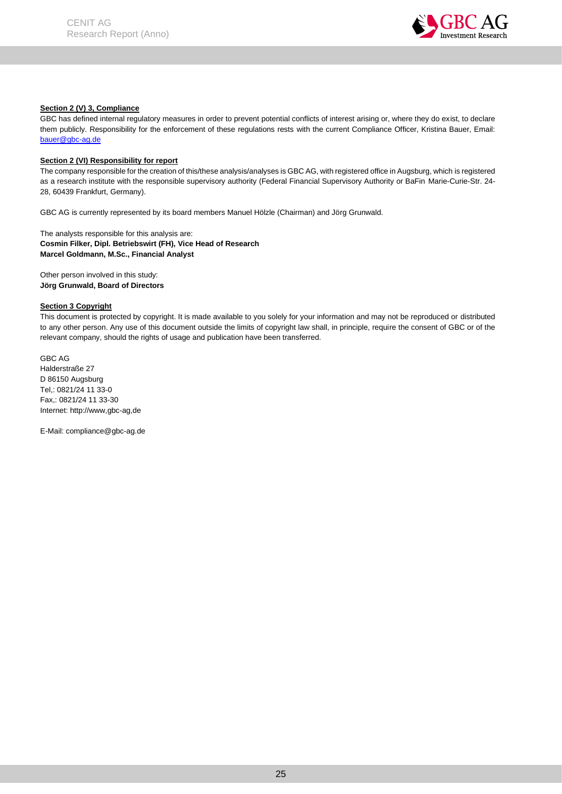

#### **Section 2 (V) 3, Compliance**

GBC has defined internal regulatory measures in order to prevent potential conflicts of interest arising or, where they do exist, to declare them publicly. Responsibility for the enforcement of these regulations rests with the current Compliance Officer, Kristina Bauer, Email: bauer@gbc-ag.de

#### **Section 2 (VI) Responsibility for report**

The company responsible for the creation of this/these analysis/analyses is GBC AG, with registered office in Augsburg, which is registered as a research institute with the responsible supervisory authority (Federal Financial Supervisory Authority or BaFin Marie-Curie-Str. 24- 28, 60439 Frankfurt, Germany).

GBC AG is currently represented by its board members Manuel Hölzle (Chairman) and Jörg Grunwald.

The analysts responsible for this analysis are: **Cosmin Filker, Dipl. Betriebswirt (FH), Vice Head of Research Marcel Goldmann, M.Sc., Financial Analyst**

Other person involved in this study: **Jörg Grunwald, Board of Directors**

#### **Section 3 Copyright**

This document is protected by copyright. It is made available to you solely for your information and may not be reproduced or distributed to any other person. Any use of this document outside the limits of copyright law shall, in principle, require the consent of GBC or of the relevant company, should the rights of usage and publication have been transferred.

GBC AG Halderstraße 27 D 86150 Augsburg Tel,: 0821/24 11 33-0 Fax,: 0821/24 11 33-30 Internet: http://www,gbc-ag,de

E-Mail: compliance@gbc-ag.de